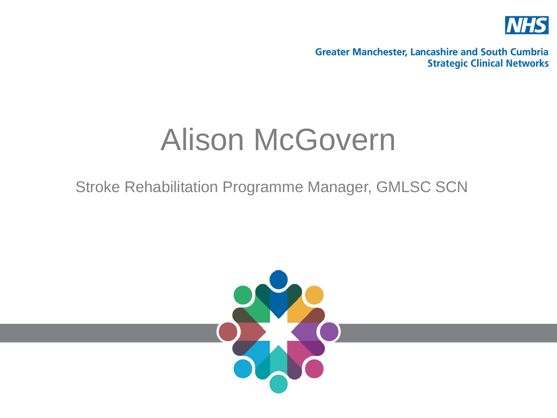

**Greater Manchester, Lancashire and South Cumbria Strategic Clinical Networks** 

## Alison McGovern

Stroke Rehabilitation Programme Manager, GMLSC SCN

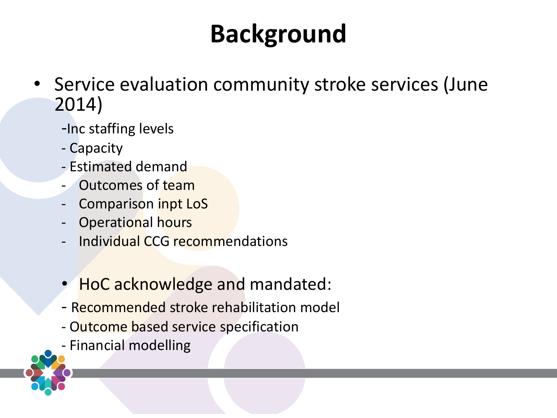### **Background**

- Service evaluation community stroke services (June 2014)
	- -Inc staffing levels
	- Capacity
	- Estimated demand
	- Outcomes of team
	- Comparison inpt LoS
	- **Operational hours**
	- Individual CCG recommendations
	- HoC acknowledge and mandated:
	- Recommended stroke rehabilitation model
	- Outcome based service specification
	- Financial modelling

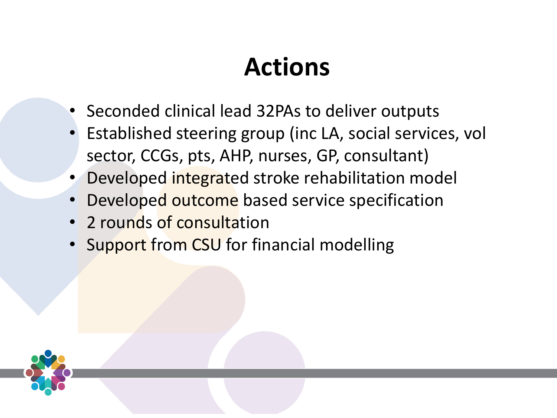### **Actions**

- Seconded clinical lead 32PAs to deliver outputs
- **Established steering group (inc LA, social services, vol** sector, CCGs, pts, AHP, nurses, GP, consultant)
- Developed integrated stroke rehabilitation model
- Developed outcome based service specification
- 2 rounds of consultation
- Support from CSU for financial modelling

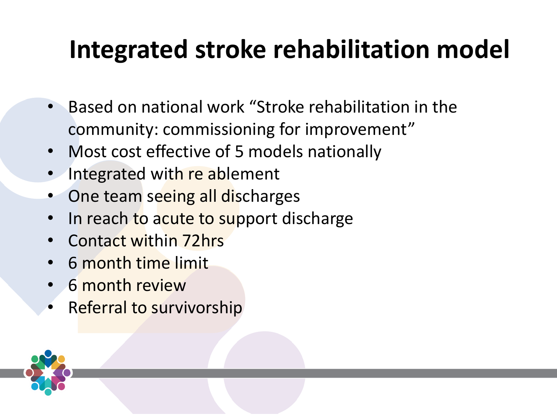### **Integrated stroke rehabilitation model**

- Based on national work "Stroke rehabilitation in the community: commissioning for improvement"
- Most cost effective of 5 models nationally
- Integrated with re ablement
- One team seeing all discharges
- In reach to acute to support discharge
- Contact within 72hrs
- 6 month time limit
- 6 month review
- Referral to survivorship

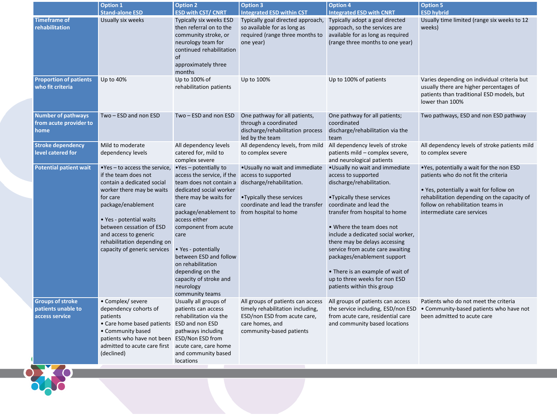| <b>Option 1</b>                                                                                                                                                                                                                                                  | <b>Option 2</b>                                                                                                                                                                                                                                                | Option 4                                                                                                                                                                 |                                                                                                                                                                                                                                                                                                                                                                                                                                                         | <b>Option 5</b>                                                                                                                                                                                                                               |  |  |
|------------------------------------------------------------------------------------------------------------------------------------------------------------------------------------------------------------------------------------------------------------------|----------------------------------------------------------------------------------------------------------------------------------------------------------------------------------------------------------------------------------------------------------------|--------------------------------------------------------------------------------------------------------------------------------------------------------------------------|---------------------------------------------------------------------------------------------------------------------------------------------------------------------------------------------------------------------------------------------------------------------------------------------------------------------------------------------------------------------------------------------------------------------------------------------------------|-----------------------------------------------------------------------------------------------------------------------------------------------------------------------------------------------------------------------------------------------|--|--|
| <b>Stand-alone ESD</b>                                                                                                                                                                                                                                           | <b>ESD with CST/ CNRT</b>                                                                                                                                                                                                                                      | <b>Integrated ESD within CST</b>                                                                                                                                         | <b>Integrated ESD with CNRT</b>                                                                                                                                                                                                                                                                                                                                                                                                                         | <b>ESD hybrid</b>                                                                                                                                                                                                                             |  |  |
| Usually six weeks                                                                                                                                                                                                                                                | Typically six weeks ESD<br>then referral on to the<br>community stroke, or<br>neurology team for<br>continued rehabilitation<br><sub>of</sub><br>approximately three                                                                                           | Typically goal directed approach,<br>so available for as long as<br>required (range three months to<br>one year)                                                         | Typically adopt a goal directed<br>approach, so the services are<br>available for as long as required<br>(range three months to one year)                                                                                                                                                                                                                                                                                                               | Usually time limited (range six weeks to 12<br>weeks)                                                                                                                                                                                         |  |  |
| Up to 40%                                                                                                                                                                                                                                                        | Up to 100% of<br>rehabilitation patients                                                                                                                                                                                                                       | Up to 100%                                                                                                                                                               | Up to 100% of patients                                                                                                                                                                                                                                                                                                                                                                                                                                  | Varies depending on individual criteria but<br>usually there are higher percentages of<br>patients than traditional ESD models, but<br>lower than 100%                                                                                        |  |  |
| Two-ESD and non ESD                                                                                                                                                                                                                                              | Two - ESD and non ESD                                                                                                                                                                                                                                          | One pathway for all patients,<br>through a coordinated<br>discharge/rehabilitation process<br>led by the team                                                            | One pathway for all patients;<br>coordinated<br>discharge/rehabilitation via the<br>team                                                                                                                                                                                                                                                                                                                                                                | Two pathways, ESD and non ESD pathway                                                                                                                                                                                                         |  |  |
| Mild to moderate<br>dependency levels                                                                                                                                                                                                                            | All dependency levels<br>catered for, mild to<br>complex severe                                                                                                                                                                                                | All dependency levels, from mild<br>to complex severe                                                                                                                    | All dependency levels of stroke<br>patients mild - complex severe,<br>and neurological patients                                                                                                                                                                                                                                                                                                                                                         | All dependency levels of stroke patients mild<br>to complex severe                                                                                                                                                                            |  |  |
| if the team does not<br>contain a dedicated social<br>worker there may be waits<br>for care<br>package/enablement<br>. Yes - potential waits<br>between cessation of ESD<br>and access to generic<br>rehabilitation depending on<br>capacity of generic services | dedicated social worker<br>there may be waits for<br>care<br>access either<br>component from acute<br>care<br>• Yes - potentially<br>between ESD and follow<br>on rehabilitation<br>depending on the<br>capacity of stroke and<br>neurology<br>community teams | . Usually no wait and immediate<br>discharge/rehabilitation.<br>•Typically these services<br>coordinate and lead the transfer                                            | . Usually no wait and immediate<br>access to supported<br>discharge/rehabilitation.<br>•Typically these services<br>coordinate and lead the<br>transfer from hospital to home<br>• Where the team does not<br>include a dedicated social worker,<br>there may be delays accessing<br>service from acute care awaiting<br>packages/enablement support<br>• There is an example of wait of<br>up to three weeks for non ESD<br>patients within this group | .Yes, potentially a wait for the non ESD<br>patients who do not fit the criteria<br>• Yes, potentially a wait for follow on<br>rehabilitation depending on the capacity of<br>follow on rehabilitation teams in<br>intermediate care services |  |  |
| • Complex/ severe<br>dependency cohorts of<br>patients<br>• Community based<br>admitted to acute care first acute care, care home                                                                                                                                | Usually all groups of<br>patients can access<br>rehabilitation via the<br>pathways including                                                                                                                                                                   | All groups of patients can access<br>timely rehabilitation including,<br>ESD/non ESD from acute care,<br>care homes, and<br>community-based patients                     | All groups of patients can access<br>the service including, ESD/non ESD<br>from acute care, residential care<br>and community based locations                                                                                                                                                                                                                                                                                                           | Patients who do not meet the criteria<br>• Community-based patients who have not<br>been admitted to acute care                                                                                                                               |  |  |
|                                                                                                                                                                                                                                                                  |                                                                                                                                                                                                                                                                | months<br>$\cdot$ Yes – to access the service, $\cdot$ Yes – potentially to<br>• Care home based patients ESD and non ESD<br>patients who have not been ESD/Non ESD from | <b>Option 3</b><br>access the service, if the access to supported<br>team does not contain a<br>package/enablement to from hospital to home                                                                                                                                                                                                                                                                                                             |                                                                                                                                                                                                                                               |  |  |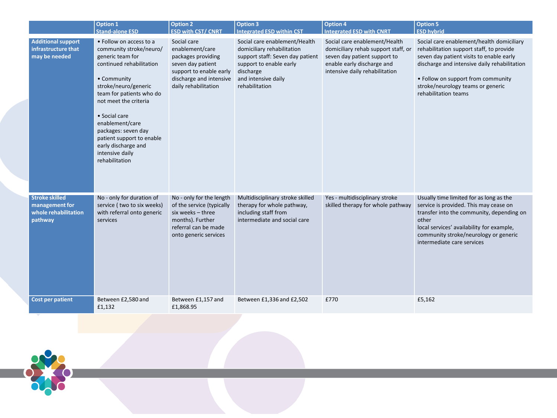|                                                                            | <b>Option 1</b><br><b>Stand-alone ESD</b>                                                                                                                                                                                                                                                                                                          | <b>Option 2</b><br><b>ESD with CST/ CNRT</b>                                                                                                            | Option 3<br><b>Integrated ESD within CST</b>                                                                                                                                     | Option 4<br><b>Integrated ESD with CNRT</b>                                                                                                                          | <b>Option 5</b><br><b>ESD hvbrid</b>                                                                                                                                                                                                                                                 |
|----------------------------------------------------------------------------|----------------------------------------------------------------------------------------------------------------------------------------------------------------------------------------------------------------------------------------------------------------------------------------------------------------------------------------------------|---------------------------------------------------------------------------------------------------------------------------------------------------------|----------------------------------------------------------------------------------------------------------------------------------------------------------------------------------|----------------------------------------------------------------------------------------------------------------------------------------------------------------------|--------------------------------------------------------------------------------------------------------------------------------------------------------------------------------------------------------------------------------------------------------------------------------------|
| <b>Additional support</b><br>infrastructure that<br>may be needed          | · Follow on access to a<br>community stroke/neuro/<br>generic team for<br>continued rehabilitation<br>• Community<br>stroke/neuro/generic<br>team for patients who do<br>not meet the criteria<br>· Social care<br>enablement/care<br>packages: seven day<br>patient support to enable<br>early discharge and<br>intensive daily<br>rehabilitation | Social care<br>enablement/care<br>packages providing<br>seven day patient<br>support to enable early<br>discharge and intensive<br>daily rehabilitation | Social care enablement/Health<br>domiciliary rehabilitation<br>support staff: Seven day patient<br>support to enable early<br>discharge<br>and intensive daily<br>rehabilitation | Social care enablement/Health<br>domiciliary rehab support staff, or<br>seven day patient support to<br>enable early discharge and<br>intensive daily rehabilitation | Social care enablement/health domiciliary<br>rehabilitation support staff, to provide<br>seven day patient visits to enable early<br>discharge and intensive daily rehabilitation<br>• Follow on support from community<br>stroke/neurology teams or generic<br>rehabilitation teams |
| <b>Stroke skilled</b><br>management for<br>whole rehabilitation<br>pathway | No - only for duration of<br>service (two to six weeks)<br>with referral onto generic<br>services                                                                                                                                                                                                                                                  | No - only for the length<br>of the service (typically<br>six weeks - three<br>months). Further<br>referral can be made<br>onto generic services         | Multidisciplinary stroke skilled<br>therapy for whole pathway,<br>including staff from<br>intermediate and social care                                                           | Yes - multidisciplinary stroke<br>skilled therapy for whole pathway                                                                                                  | Usually time limited for as long as the<br>service is provided. This may cease on<br>transfer into the community, depending on<br>other<br>local services' availability for example,<br>community stroke/neurology or generic<br>intermediate care services                          |
| Cost per patient                                                           | Between £2,580 and<br>£1,132                                                                                                                                                                                                                                                                                                                       | Between £1,157 and<br>£1,868.95                                                                                                                         | Between £1,336 and £2,502                                                                                                                                                        | £770                                                                                                                                                                 | £5,162                                                                                                                                                                                                                                                                               |

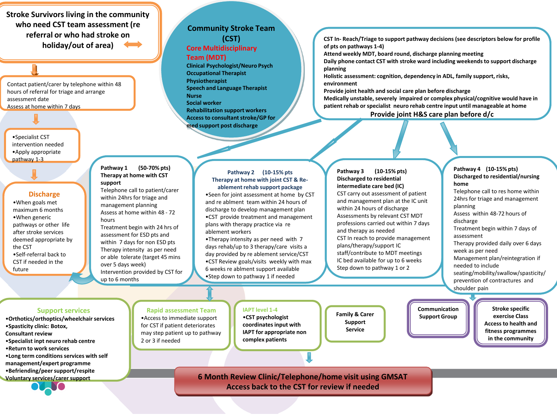**Stroke Survivors living in the community who need CST team assessment (re referral or who had stroke on holiday/out of area)**

Contact patient/carer by telephone within 48 hours of referral for triage and arrange assessment date Assess at home within 7 days

•Specialist CST intervention needed •Apply appropriate pathway 1-3

Л

#### **Discharge**

•When goals met maximum 6 months •When generic pathways or other life after stroke services deemed appropriate by the CST •Self-referral back to CST if needed in the future

#### **Pathway 1 (50-70% pts) Therapy at home with CST support**

Telephone call to patient/carer within 24hrs for triage and management planning Assess at home within 48 - 72 hours

Treatment begin with 24 hrs of assessment for ESD pts and within 7 days for non ESD pts Therapy intensity as per need or able tolerate (target 45 mins over 5 days week) Intervention provided by CST for up to 6 months

#### **Community Stroke Team (CST)**

**Core Multidisciplinary Team (MDT)**

#### **Clinical Psychologist/Neuro Psych Occupational Therapist Physiotherapist Speech and Language Therapist Nurse Social worker Rehabilitation support workers Access to consultant stroke/GP for med support post discharge**

**CST In- Reach/Triage to support pathway decisions (see descriptors below for profile of pts on pathways 1-4)**

**Attend weekly MDT, board round, discharge planning meeting**

**Daily phone contact CST with stroke ward including weekends to support discharge planning**

**Holistic assessment: cognition, dependency in ADL, family support, risks, environment**

**Provide joint health and social care plan before discharge** 

**Medically unstable, severely impaired or complex physical/cognitive would have in patient rehab or specialist neuro rehab centre input until manageable at home**

**Provide joint H&S care plan before d/c**

**Pathway 2 (10-15% pts Therapy at home with joint CST & Reablement rehab support package**

•Seen for joint assessment at home by CST and re ablment team within 24 hours of discharge to develop management plan •CST provide treatment and management plans with therapy practice via re ablement workers

•Therapy intensity as per need with 7 days rehab/up to 3 therapy/care visits a day provided by re ablement service/CST •CST Review goals/visits weekly with max 6 weeks re ablment support available •Step down to pathway 1 if needed

#### **Pathway 3 (10-15% pts) Discharged to residential intermediate care bed (IC)**  CST carry out assessment of patient and management plan at the IC unit

within 24 hours of discharge Assessments by relevant CST MDT professions carried out within 7 days and therapy as needed CST In reach to provide management plans/therapy/support IC staff/contribute to MDT meetings IC bed available for up to 6 weeks Step down to pathway 1 or 2

#### **Pathway 4 (10-15% pts) Discharged to residential/nursing home**

Telephone call to res home within 24hrs for triage and management planning Assess within 48-72 hours of discharge Treatment begin within 7 days of assessment Therapy provided daily over 6 days week as per need Management plan/reintegration if needed to include seating/mobility/swallow/spasticity/ prevention of contractures and shoulder pain

#### **Support services**

•**Orthotics/orthoptics/wheelchair services** •**Spasticity clinic: Botox, Consultant review** •**Specialist inpt neuro rehab centre** •**Return to work services** •**Long term conditions services with self management/expert programme** •**Befriending/peer support/respite** 

#### **Voluntary services/carersupport**

#### **Rapid assessment Team IAPT level 1-4**

•Access to immediate support for CST if patient deteriorates may step patient up to pathway

2 or 3 if needed

•**CST psychologist coordinates input with IAPT for appropriate non complex patients**

**Family & Carer Support Service**

**Communication Support Group**

**Stroke specific exercise Class Access to health and fitness programmes in the community**

**6 Month Review Clinic/Telephone/home visit using GMSAT Access back to the CST for review if needed**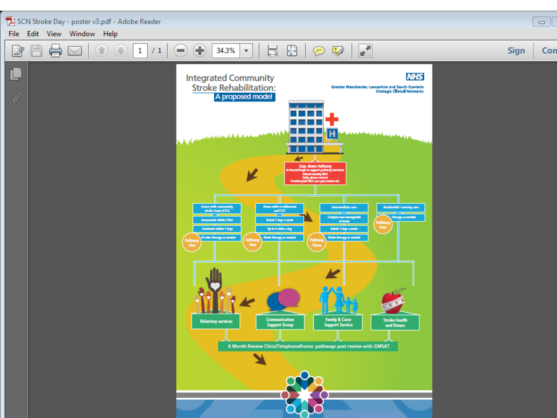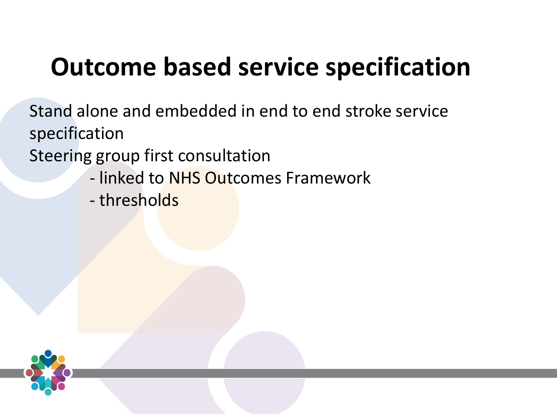### **Outcome based service specification**

Stand alone and embedded in end to end stroke service specification

Steering group first consultation

- linked to NHS Outcomes Framework
- thresholds

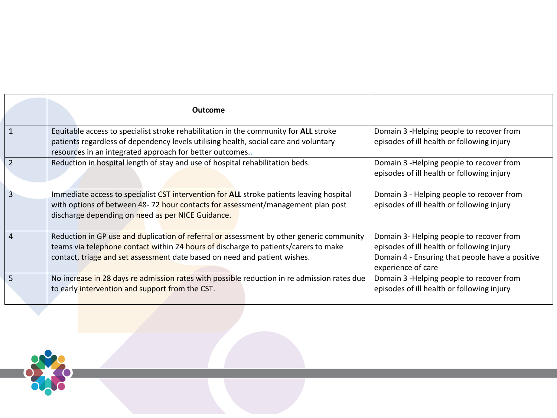|                | <b>Outcome</b>                                                                                                                                                                                                                                               |                                                                                                                                                                 |  |  |
|----------------|--------------------------------------------------------------------------------------------------------------------------------------------------------------------------------------------------------------------------------------------------------------|-----------------------------------------------------------------------------------------------------------------------------------------------------------------|--|--|
|                | Equitable access to specialist stroke rehabilitation in the community for ALL stroke<br>patients regardless of dependency levels utilising health, social care and voluntary<br>resources in an integrated approach for better outcomes                      | Domain 3 - Helping people to recover from<br>episodes of ill health or following injury                                                                         |  |  |
| $\overline{2}$ | Reduction in hospital length of stay and use of hospital rehabilitation beds.                                                                                                                                                                                | Domain 3 - Helping people to recover from<br>episodes of ill health or following injury                                                                         |  |  |
| $\overline{3}$ | Immediate access to specialist CST intervention for ALL stroke patients leaving hospital<br>with options of between 48-72 hour contacts for assessment/management plan post<br>discharge depending on need as per NICE Guidance.                             | Domain 3 - Helping people to recover from<br>episodes of ill health or following injury                                                                         |  |  |
| $\overline{4}$ | Reduction in GP use and duplication of referral or assessment by other generic community<br>teams via telephone contact within 24 hours of discharge to patients/carers to make<br>contact, triage and set assessment date based on need and patient wishes. | Domain 3- Helping people to recover from<br>episodes of ill health or following injury<br>Domain 4 - Ensuring that people have a positive<br>experience of care |  |  |
| 5.             | No increase in 28 days re admission rates with possible reduction in re admission rates due<br>to early intervention and support from the CST.                                                                                                               | Domain 3 - Helping people to recover from<br>episodes of ill health or following injury                                                                         |  |  |

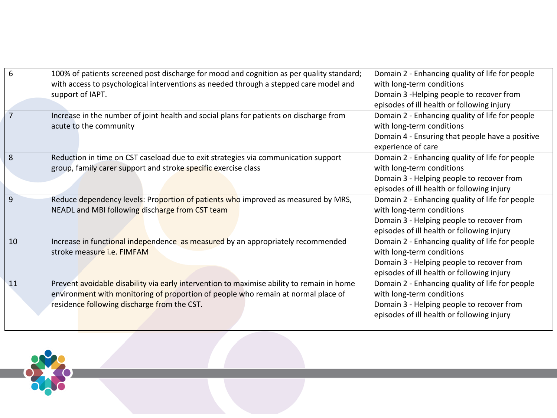| 6              | 100% of patients screened post discharge for mood and cognition as per quality standard;<br>with access to psychological interventions as needed through a stepped care model and<br>support of IAPT.                         | Domain 2 - Enhancing quality of life for people<br>with long-term conditions<br>Domain 3 - Helping people to recover from<br>episodes of ill health or following injury |  |  |
|----------------|-------------------------------------------------------------------------------------------------------------------------------------------------------------------------------------------------------------------------------|-------------------------------------------------------------------------------------------------------------------------------------------------------------------------|--|--|
| $\overline{7}$ | Increase in the number of joint health and social plans for patients on discharge from<br>acute to the community                                                                                                              | Domain 2 - Enhancing quality of life for people<br>with long-term conditions<br>Domain 4 - Ensuring that people have a positive<br>experience of care                   |  |  |
| 8              | Reduction in time on CST caseload due to exit strategies via communication support<br>group, family carer support and stroke specific exercise class                                                                          | Domain 2 - Enhancing quality of life for people<br>with long-term conditions<br>Domain 3 - Helping people to recover from<br>episodes of ill health or following injury |  |  |
| 9              | Reduce dependency levels: Proportion of patients who improved as measured by MRS,<br>NEADL and MBI following discharge from CST team                                                                                          | Domain 2 - Enhancing quality of life for people<br>with long-term conditions<br>Domain 3 - Helping people to recover from<br>episodes of ill health or following injury |  |  |
| 10             | Increase in functional independence as measured by an appropriately recommended<br>stroke measure <i>i.e.</i> FIMFAM                                                                                                          | Domain 2 - Enhancing quality of life for people<br>with long-term conditions<br>Domain 3 - Helping people to recover from<br>episodes of ill health or following injury |  |  |
| 11             | Prevent avoidable disability via early intervention to maximise ability to remain in home<br>environment with monitoring of proportion of people who remain at normal place of<br>residence following discharge from the CST. | Domain 2 - Enhancing quality of life for people<br>with long-term conditions<br>Domain 3 - Helping people to recover from<br>episodes of ill health or following injury |  |  |

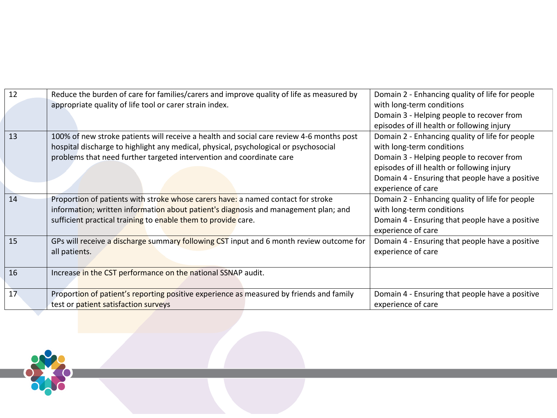| 12 | Reduce the burden of care for families/carers and improve quality of life as measured by<br>appropriate quality of life tool or carer strain index.                                                                                                      | Domain 2 - Enhancing quality of life for people<br>with long-term conditions<br>Domain 3 - Helping people to recover from<br>episodes of ill health or following injury                                                                          |  |  |
|----|----------------------------------------------------------------------------------------------------------------------------------------------------------------------------------------------------------------------------------------------------------|--------------------------------------------------------------------------------------------------------------------------------------------------------------------------------------------------------------------------------------------------|--|--|
| 13 | 100% of new stroke patients will receive a health and social care review 4-6 months post<br>hospital discharge to highlight any medical, physical, psychological or psychosocial<br>problems that need further targeted intervention and coordinate care | Domain 2 - Enhancing quality of life for people<br>with long-term conditions<br>Domain 3 - Helping people to recover from<br>episodes of ill health or following injury<br>Domain 4 - Ensuring that people have a positive<br>experience of care |  |  |
| 14 | Proportion of patients with stroke whose carers have: a named contact for stroke<br>information; written information about patient's diagnosis and management plan; and<br>sufficient practical training to enable them to provide care.                 | Domain 2 - Enhancing quality of life for people<br>with long-term conditions<br>Domain 4 - Ensuring that people have a positive<br>experience of care                                                                                            |  |  |
| 15 | GPs will receive a discharge summary following CST input and 6 month review outcome for<br>all patients.                                                                                                                                                 | Domain 4 - Ensuring that people have a positive<br>experience of care                                                                                                                                                                            |  |  |
| 16 | Increase in the CST performance on the national SSNAP audit.                                                                                                                                                                                             |                                                                                                                                                                                                                                                  |  |  |
| 17 | Proportion of patient's reporting positive experience as measured by friends and family<br>test or patient satisfaction surveys                                                                                                                          | Domain 4 - Ensuring that people have a positive<br>experience of care                                                                                                                                                                            |  |  |

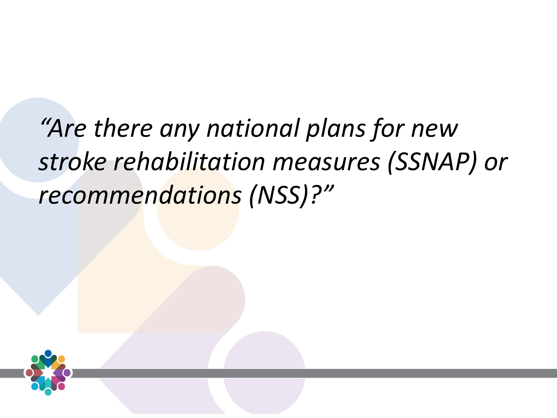*"Are there any national plans for new stroke rehabilitation measures (SSNAP) or recommendations (NSS)?"*

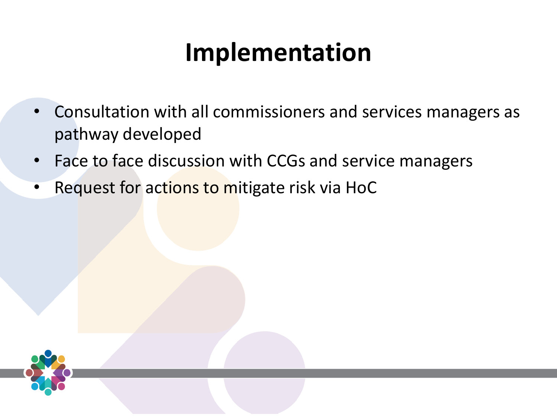### **Implementation**

- Consultation with all commissioners and services managers as pathway developed
- Face to face discussion with CCGs and service managers
- Request for actions to mitigate risk via HoC

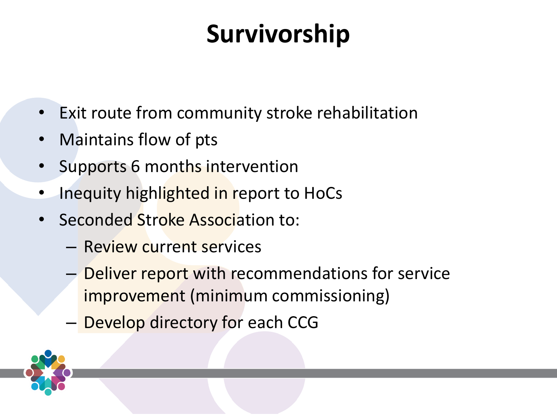### **Survivorship**

- Exit route from community stroke rehabilitation
- Maintains flow of pts
- Supports 6 months intervention
- Inequity highlighted in report to HoCs
- Seconded Stroke Association to:
	- Review current services
	- Deliver report with recommendations for service improvement (minimum commissioning)
	- Develop directory for each CCG

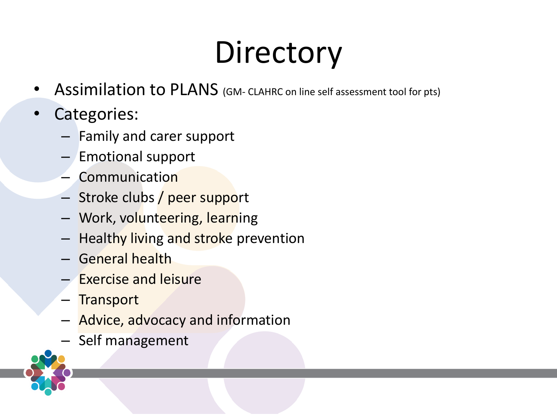# **Directory**

- Assimilation to PLANS (GM- CLAHRC on line self assessment tool for pts)
- Categories:
	- Family and carer support
	- Emotional support
	- Communication
	- Stroke clubs / peer support
	- Work, volunteering, learning
	- Healthy living and stroke prevention
	- General health
	- Exercise and leisure
	- **Transport**
	- Advice, advocacy and information
	- Self management

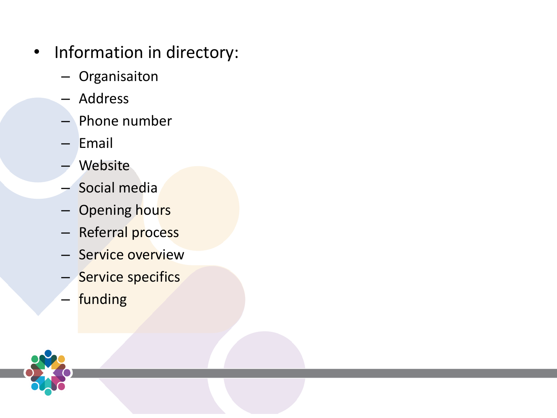- Information in directory:
	- Organisaiton
	- Address
	- Phone number
	- Email
	- Website
	- Social media
	- Opening hours
	- Referral process
	- Service overview
	- Service specifics
	- funding

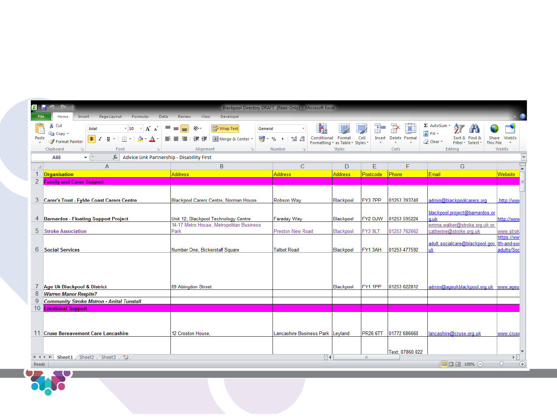|       | Blackpool Directory DRAFT [Read-Only] - Microsoft Excel                                                                                                     |                                                                                             |                                                                                |                                            |                 |                                       |                                                                                                                               |                                         |
|-------|-------------------------------------------------------------------------------------------------------------------------------------------------------------|---------------------------------------------------------------------------------------------|--------------------------------------------------------------------------------|--------------------------------------------|-----------------|---------------------------------------|-------------------------------------------------------------------------------------------------------------------------------|-----------------------------------------|
|       | Page Layout<br>Home<br>Insert<br>Formulas<br>Data<br>Review<br>View<br>Developer                                                                            |                                                                                             |                                                                                |                                            |                 |                                       |                                                                                                                               |                                         |
| Paste | & Cut<br>$-10$<br>$A^{\star}$ $A^{\star}$<br>≡<br>Arial<br>बै∋ Copy ≁<br>$\mathfrak{B}$ -<br>$A -$<br>$\mathbf{B}$<br>$I \cup$<br>- FEI +<br>Format Painter | <b>T</b> Wrap Text<br>≫,<br>General<br>$=$<br>$\leftarrow$ +<br>Merge & Center *<br>三三<br>清 | $\frac{1}{2}$ is $\frac{1}{2}$<br>$*3.0$<br>Conditional<br>$\frac{1}{2}$ - % , | Format<br>Formatting * as Table * Styles * | 韴<br>Cell       | ₿<br>J<br><b>Insert</b> Delete Format | $\Sigma$ AutoSum<br>A,<br>$\overline{P}$ Fill $\overline{P}$<br>Sort & Find &<br><b><i>Q</i></b> Clear ▼<br>Filter * Select * | WebEx<br>Share<br>This File             |
|       | Clipboard<br>Гsі.<br>Font<br>154                                                                                                                            | Alignment<br>$\overline{\mathbb{F}_M}$ .                                                    | Number                                                                         | <b>Styles</b>                              |                 | Cells                                 | Editing                                                                                                                       | WebEx                                   |
|       | $-\left($<br>fx Advice Link Partnership - Disability First<br>A68                                                                                           |                                                                                             |                                                                                |                                            |                 |                                       |                                                                                                                               |                                         |
|       | $\overline{A}$                                                                                                                                              | B                                                                                           | $\mathbf C$                                                                    | D                                          | E               | F                                     | G                                                                                                                             |                                         |
|       | <b>Organisation</b>                                                                                                                                         | <b>Address</b>                                                                              | <b>Address</b>                                                                 | <b>Address</b>                             | Postcode        | Phone                                 | Email                                                                                                                         | Website                                 |
| 2     | <b>Family and Carer Support</b>                                                                                                                             |                                                                                             |                                                                                |                                            |                 |                                       |                                                                                                                               |                                         |
| 3     | Carer's Trust - Fylde Coast Carers Centre                                                                                                                   | Blackpool Carers Centre, Norman House                                                       | Robson Way                                                                     | <b>Blackpool</b>                           | FY3 7PP         | 01253 393748                          | admin@blackpoolcarers.org                                                                                                     | http://www                              |
| 4     | <b>Barnardos - Floating Support Project</b>                                                                                                                 | Unit 12, Blackpool Technology Centre<br>14-17 Metro House, Metropolitan Business            | Faraday Way                                                                    | Blackpool                                  | FY2 OJW         | 01253 595224                          | blackpool.project@barnardos.or<br>a.uk<br>emma.walker@stroke.org.uk or                                                        | http://www                              |
| 5     | <b>Stroke Association</b>                                                                                                                                   | Park                                                                                        | <b>Preston New Road</b>                                                        | Blackpool                                  | FY3 9LT         | 01253 762662                          | catherine@stroke.org.uk                                                                                                       | www.strok                               |
| 6     | <b>Social Services</b>                                                                                                                                      | Number One, Bickerstaff Square                                                              | <b>Talbot Road</b>                                                             | Blackpool                                  | FY1 3AH         | 01253 477592                          | adult.socialcare@blackpool.gov<br>uk                                                                                          | https://ww<br>Ith-and-soc<br>adults/Soc |
|       |                                                                                                                                                             |                                                                                             |                                                                                |                                            |                 |                                       |                                                                                                                               |                                         |
|       | <b>Age Uk Blackpool &amp; District</b>                                                                                                                      | 89 Abingdon Street                                                                          |                                                                                | Blackpool                                  | FY1 1PP         | 01253 622812                          | admin@aqeukblackpool.org.uk www.aqeu                                                                                          |                                         |
| 8     | <b>Warren Manor Respite?</b>                                                                                                                                |                                                                                             |                                                                                |                                            |                 |                                       |                                                                                                                               |                                         |
| 9     | <b>Community Stroke Matron - Anital Tunstall</b>                                                                                                            |                                                                                             |                                                                                |                                            |                 |                                       |                                                                                                                               |                                         |
| 10    | <b>Emotional Support</b>                                                                                                                                    |                                                                                             |                                                                                |                                            |                 |                                       |                                                                                                                               |                                         |
| 11    | <b>Cruse Bereavement Care Lancashire</b>                                                                                                                    | 12 Croston House.                                                                           | Lancashire Business Park Leyland                                               |                                            | <b>PR26 6TT</b> | 01772 686668<br>Text: 07860 022       | lancashire@cruse.org.uk                                                                                                       | WWW.Cruse                               |
|       | H + ▶ H Sheet1 Sheet2 Sheet3<br>∕*⊒                                                                                                                         |                                                                                             | I⊓ ∢                                                                           |                                            | III             |                                       |                                                                                                                               | ⊧П                                      |
| Ready |                                                                                                                                                             |                                                                                             |                                                                                |                                            |                 |                                       | 田口凹 100% →                                                                                                                    | O.<br>$\left( +\right)$                 |

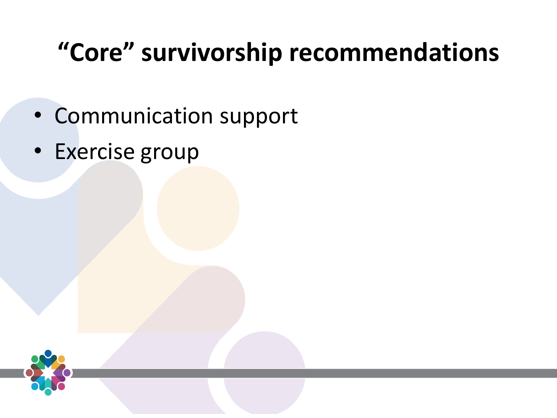### **"Core" survivorship recommendations**

- Communication support
- Exercise group